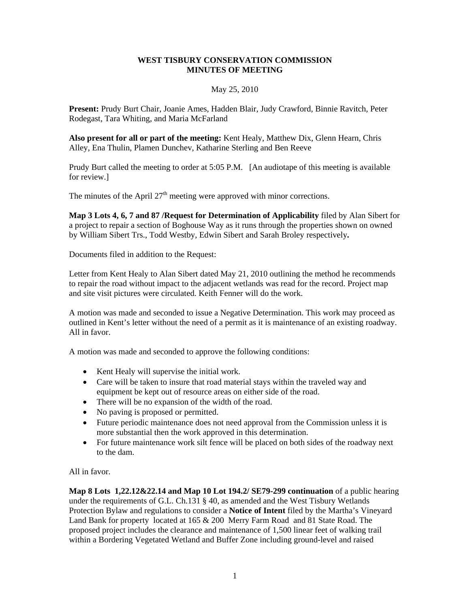## **WEST TISBURY CONSERVATION COMMISSION MINUTES OF MEETING**

#### May 25, 2010

**Present:** Prudy Burt Chair, Joanie Ames, Hadden Blair, Judy Crawford, Binnie Ravitch, Peter Rodegast, Tara Whiting, and Maria McFarland

**Also present for all or part of the meeting:** Kent Healy, Matthew Dix, Glenn Hearn, Chris Alley, Ena Thulin, Plamen Dunchev, Katharine Sterling and Ben Reeve

Prudy Burt called the meeting to order at 5:05 P.M. [An audiotape of this meeting is available for review.]

The minutes of the April  $27<sup>th</sup>$  meeting were approved with minor corrections.

**Map 3 Lots 4, 6, 7 and 87 /Request for Determination of Applicability** filed by Alan Sibert for a project to repair a section of Boghouse Way as it runs through the properties shown on owned by William Sibert Trs., Todd Westby, Edwin Sibert and Sarah Broley respectively**.** 

Documents filed in addition to the Request:

Letter from Kent Healy to Alan Sibert dated May 21, 2010 outlining the method he recommends to repair the road without impact to the adjacent wetlands was read for the record. Project map and site visit pictures were circulated. Keith Fenner will do the work.

A motion was made and seconded to issue a Negative Determination. This work may proceed as outlined in Kent's letter without the need of a permit as it is maintenance of an existing roadway. All in favor.

A motion was made and seconded to approve the following conditions:

- Kent Healy will supervise the initial work.
- Care will be taken to insure that road material stays within the traveled way and equipment be kept out of resource areas on either side of the road.
- There will be no expansion of the width of the road.
- No paving is proposed or permitted.
- Future periodic maintenance does not need approval from the Commission unless it is more substantial then the work approved in this determination.
- For future maintenance work silt fence will be placed on both sides of the roadway next to the dam.

All in favor.

**Map 8 Lots 1,22.12&22.14 and Map 10 Lot 194.2/ SE79-299 continuation** of a public hearing under the requirements of G.L. Ch.131 § 40, as amended and the West Tisbury Wetlands Protection Bylaw and regulations to consider a **Notice of Intent** filed by the Martha's Vineyard Land Bank for property located at 165 & 200 Merry Farm Road and 81 State Road. The proposed project includes the clearance and maintenance of 1,500 linear feet of walking trail within a Bordering Vegetated Wetland and Buffer Zone including ground-level and raised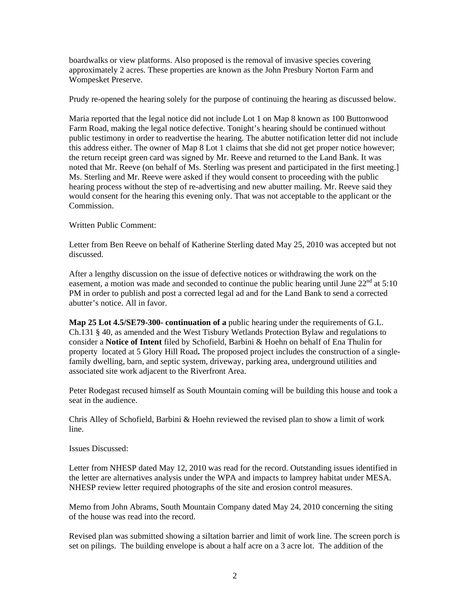boardwalks or view platforms. Also proposed is the removal of invasive species covering approximately 2 acres. These properties are known as the John Presbury Norton Farm and Wompesket Preserve.

Prudy re-opened the hearing solely for the purpose of continuing the hearing as discussed below.

Maria reported that the legal notice did not include Lot 1 on Map 8 known as 100 Buttonwood Farm Road, making the legal notice defective. Tonight's hearing should be continued without public testimony in order to readvertise the hearing. The abutter notification letter did not include this address either. The owner of Map 8 Lot 1 claims that she did not get proper notice however; the return receipt green card was signed by Mr. Reeve and returned to the Land Bank. It was noted that Mr. Reeve (on behalf of Ms. Sterling was present and participated in the first meeting.] Ms. Sterling and Mr. Reeve were asked if they would consent to proceeding with the public hearing process without the step of re-advertising and new abutter mailing. Mr. Reeve said they would consent for the hearing this evening only. That was not acceptable to the applicant or the Commission.

## Written Public Comment:

Letter from Ben Reeve on behalf of Katherine Sterling dated May 25, 2010 was accepted but not discussed.

After a lengthy discussion on the issue of defective notices or withdrawing the work on the easement, a motion was made and seconded to continue the public hearing until June  $22<sup>nd</sup>$  at 5:10 PM in order to publish and post a corrected legal ad and for the Land Bank to send a corrected abutter's notice. All in favor.

**Map 25 Lot 4.5/SE79-300- continuation of a** public hearing under the requirements of G.L. Ch.131 § 40, as amended and the West Tisbury Wetlands Protection Bylaw and regulations to consider a **Notice of Intent** filed by Schofield, Barbini & Hoehn on behalf of Ena Thulin for property located at 5 Glory Hill Road**.** The proposed project includes the construction of a singlefamily dwelling, barn, and septic system, driveway, parking area, underground utilities and associated site work adjacent to the Riverfront Area.

Peter Rodegast recused himself as South Mountain coming will be building this house and took a seat in the audience.

Chris Alley of Schofield, Barbini & Hoehn reviewed the revised plan to show a limit of work line.

Issues Discussed:

Letter from NHESP dated May 12, 2010 was read for the record. Outstanding issues identified in the letter are alternatives analysis under the WPA and impacts to lamprey habitat under MESA. NHESP review letter required photographs of the site and erosion control measures.

Memo from John Abrams, South Mountain Company dated May 24, 2010 concerning the siting of the house was read into the record.

Revised plan was submitted showing a siltation barrier and limit of work line. The screen porch is set on pilings. The building envelope is about a half acre on a 3 acre lot. The addition of the